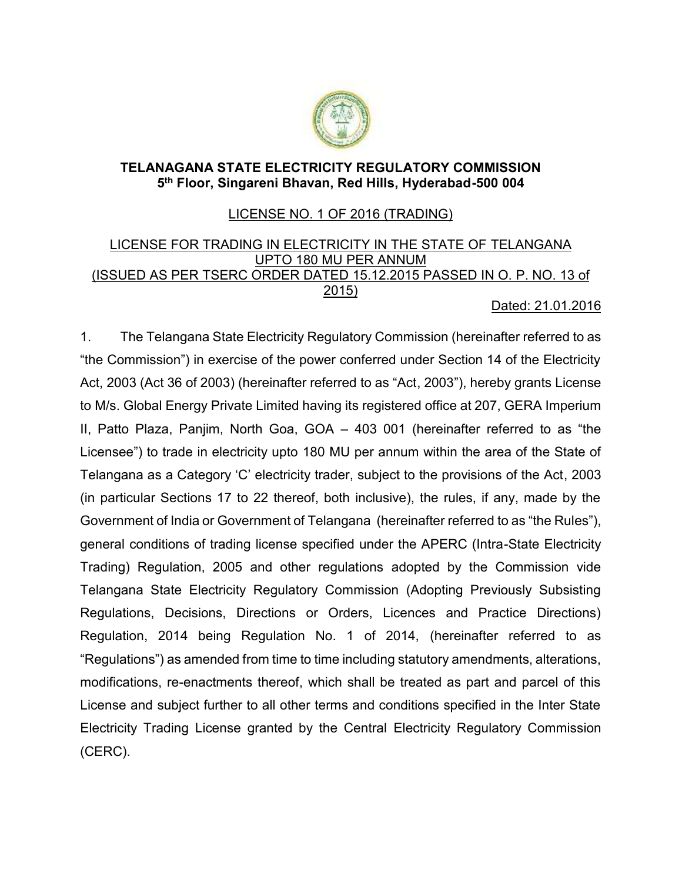

## **TELANAGANA STATE ELECTRICITY REGULATORY COMMISSION 5 th Floor, Singareni Bhavan, Red Hills, Hyderabad-500 004**

## LICENSE NO. 1 OF 2016 (TRADING)

## LICENSE FOR TRADING IN ELECTRICITY IN THE STATE OF TELANGANA UPTO 180 MU PER ANNUM (ISSUED AS PER TSERC ORDER DATED 15.12.2015 PASSED IN O. P. NO. 13 of 2015) Dated: 21.01.2016

1. The Telangana State Electricity Regulatory Commission (hereinafter referred to as "the Commission") in exercise of the power conferred under Section 14 of the Electricity Act, 2003 (Act 36 of 2003) (hereinafter referred to as "Act, 2003"), hereby grants License to M/s. Global Energy Private Limited having its registered office at 207, GERA Imperium II, Patto Plaza, Panjim, North Goa, GOA – 403 001 (hereinafter referred to as "the Licensee") to trade in electricity upto 180 MU per annum within the area of the State of Telangana as a Category 'C' electricity trader, subject to the provisions of the Act, 2003 (in particular Sections 17 to 22 thereof, both inclusive), the rules, if any, made by the Government of India or Government of Telangana (hereinafter referred to as "the Rules"), general conditions of trading license specified under the APERC (Intra-State Electricity Trading) Regulation, 2005 and other regulations adopted by the Commission vide Telangana State Electricity Regulatory Commission (Adopting Previously Subsisting Regulations, Decisions, Directions or Orders, Licences and Practice Directions) Regulation, 2014 being Regulation No. 1 of 2014, (hereinafter referred to as "Regulations") as amended from time to time including statutory amendments, alterations, modifications, re-enactments thereof, which shall be treated as part and parcel of this License and subject further to all other terms and conditions specified in the Inter State Electricity Trading License granted by the Central Electricity Regulatory Commission (CERC).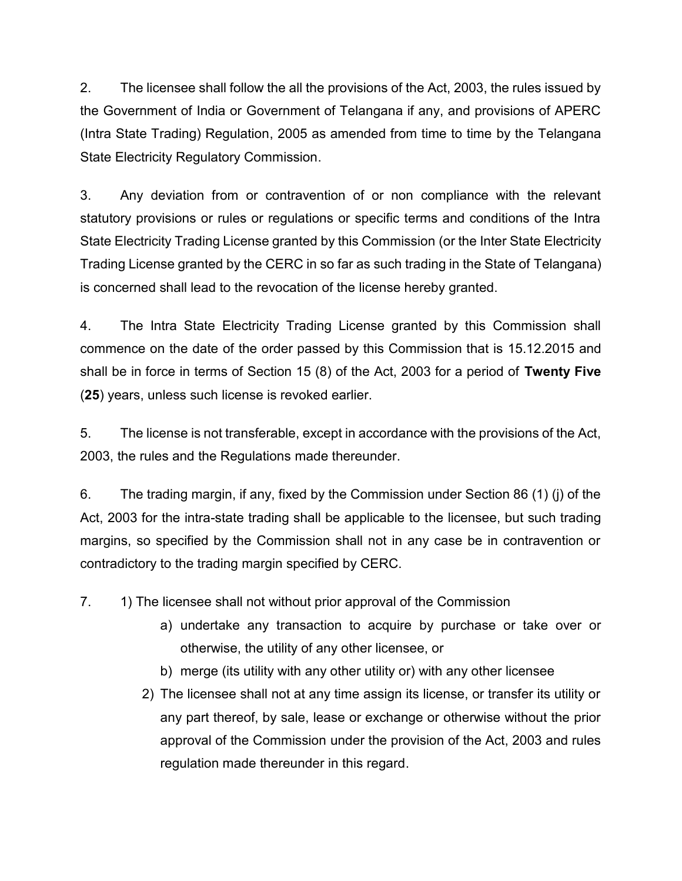2. The licensee shall follow the all the provisions of the Act, 2003, the rules issued by the Government of India or Government of Telangana if any, and provisions of APERC (Intra State Trading) Regulation, 2005 as amended from time to time by the Telangana State Electricity Regulatory Commission.

3. Any deviation from or contravention of or non compliance with the relevant statutory provisions or rules or regulations or specific terms and conditions of the Intra State Electricity Trading License granted by this Commission (or the Inter State Electricity Trading License granted by the CERC in so far as such trading in the State of Telangana) is concerned shall lead to the revocation of the license hereby granted.

4. The Intra State Electricity Trading License granted by this Commission shall commence on the date of the order passed by this Commission that is 15.12.2015 and shall be in force in terms of Section 15 (8) of the Act, 2003 for a period of **Twenty Five** (**25**) years, unless such license is revoked earlier.

5. The license is not transferable, except in accordance with the provisions of the Act, 2003, the rules and the Regulations made thereunder.

6. The trading margin, if any, fixed by the Commission under Section 86 (1) (j) of the Act, 2003 for the intra-state trading shall be applicable to the licensee, but such trading margins, so specified by the Commission shall not in any case be in contravention or contradictory to the trading margin specified by CERC.

7. 1) The licensee shall not without prior approval of the Commission

- a) undertake any transaction to acquire by purchase or take over or otherwise, the utility of any other licensee, or
- b) merge (its utility with any other utility or) with any other licensee
- 2) The licensee shall not at any time assign its license, or transfer its utility or any part thereof, by sale, lease or exchange or otherwise without the prior approval of the Commission under the provision of the Act, 2003 and rules regulation made thereunder in this regard.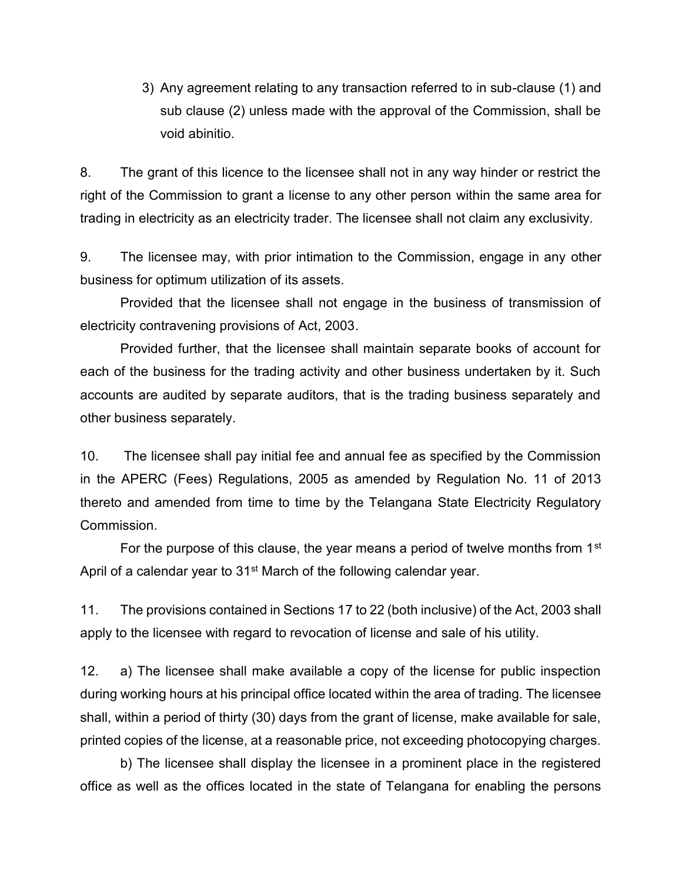3) Any agreement relating to any transaction referred to in sub-clause (1) and sub clause (2) unless made with the approval of the Commission, shall be void abinitio.

8. The grant of this licence to the licensee shall not in any way hinder or restrict the right of the Commission to grant a license to any other person within the same area for trading in electricity as an electricity trader. The licensee shall not claim any exclusivity.

9. The licensee may, with prior intimation to the Commission, engage in any other business for optimum utilization of its assets.

Provided that the licensee shall not engage in the business of transmission of electricity contravening provisions of Act, 2003.

Provided further, that the licensee shall maintain separate books of account for each of the business for the trading activity and other business undertaken by it. Such accounts are audited by separate auditors, that is the trading business separately and other business separately.

10. The licensee shall pay initial fee and annual fee as specified by the Commission in the APERC (Fees) Regulations, 2005 as amended by Regulation No. 11 of 2013 thereto and amended from time to time by the Telangana State Electricity Regulatory Commission.

For the purpose of this clause, the year means a period of twelve months from  $1<sup>st</sup>$ April of a calendar year to 31<sup>st</sup> March of the following calendar year.

11. The provisions contained in Sections 17 to 22 (both inclusive) of the Act, 2003 shall apply to the licensee with regard to revocation of license and sale of his utility.

12. a) The licensee shall make available a copy of the license for public inspection during working hours at his principal office located within the area of trading. The licensee shall, within a period of thirty (30) days from the grant of license, make available for sale, printed copies of the license, at a reasonable price, not exceeding photocopying charges.

b) The licensee shall display the licensee in a prominent place in the registered office as well as the offices located in the state of Telangana for enabling the persons